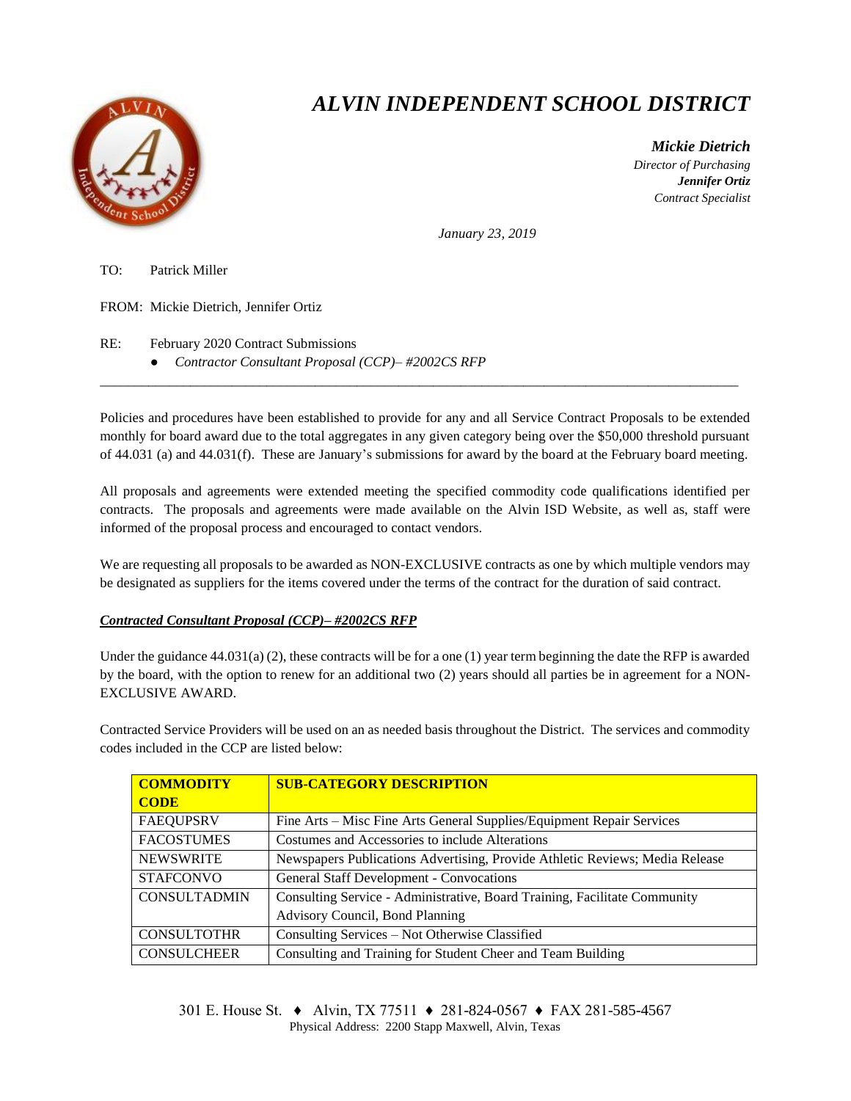

## *ALVIN INDEPENDENT SCHOOL DISTRICT*

 *Mickie Dietrich Director of Purchasing Jennifer Ortiz Contract Specialist*

*January 23, 2019*

TO: Patrick Miller

FROM: Mickie Dietrich, Jennifer Ortiz

RE: February 2020 Contract Submissions

● *Contractor Consultant Proposal (CCP)– #2002CS RFP*

Policies and procedures have been established to provide for any and all Service Contract Proposals to be extended monthly for board award due to the total aggregates in any given category being over the \$50,000 threshold pursuant of 44.031 (a) and 44.031(f). These are January's submissions for award by the board at the February board meeting.

 $\overline{a}$  , and the state of the state of the state of the state of the state of the state of the state of the state of the state of the state of the state of the state of the state of the state of the state of the state o

All proposals and agreements were extended meeting the specified commodity code qualifications identified per contracts. The proposals and agreements were made available on the Alvin ISD Website, as well as, staff were informed of the proposal process and encouraged to contact vendors.

We are requesting all proposals to be awarded as NON-EXCLUSIVE contracts as one by which multiple vendors may be designated as suppliers for the items covered under the terms of the contract for the duration of said contract.

## *Contracted Consultant Proposal (CCP)– #2002CS RFP*

Under the guidance  $44.031(a)$  (2), these contracts will be for a one (1) year term beginning the date the RFP is awarded by the board, with the option to renew for an additional two (2) years should all parties be in agreement for a NON-EXCLUSIVE AWARD.

Contracted Service Providers will be used on an as needed basis throughout the District. The services and commodity codes included in the CCP are listed below:

| <b>COMMODITY</b>    | <b>SUB-CATEGORY DESCRIPTION</b>                                              |  |
|---------------------|------------------------------------------------------------------------------|--|
| <b>CODE</b>         |                                                                              |  |
| <b>FAEQUPSRV</b>    | Fine Arts – Misc Fine Arts General Supplies/Equipment Repair Services        |  |
| <b>FACOSTUMES</b>   | Costumes and Accessories to include Alterations                              |  |
| <b>NEWSWRITE</b>    | Newspapers Publications Advertising, Provide Athletic Reviews; Media Release |  |
| <b>STAFCONVO</b>    | <b>General Staff Development - Convocations</b>                              |  |
| <b>CONSULTADMIN</b> | Consulting Service - Administrative, Board Training, Facilitate Community    |  |
|                     | Advisory Council, Bond Planning                                              |  |
| <b>CONSULTOTHR</b>  | Consulting Services – Not Otherwise Classified                               |  |
| <b>CONSULCHEER</b>  | Consulting and Training for Student Cheer and Team Building                  |  |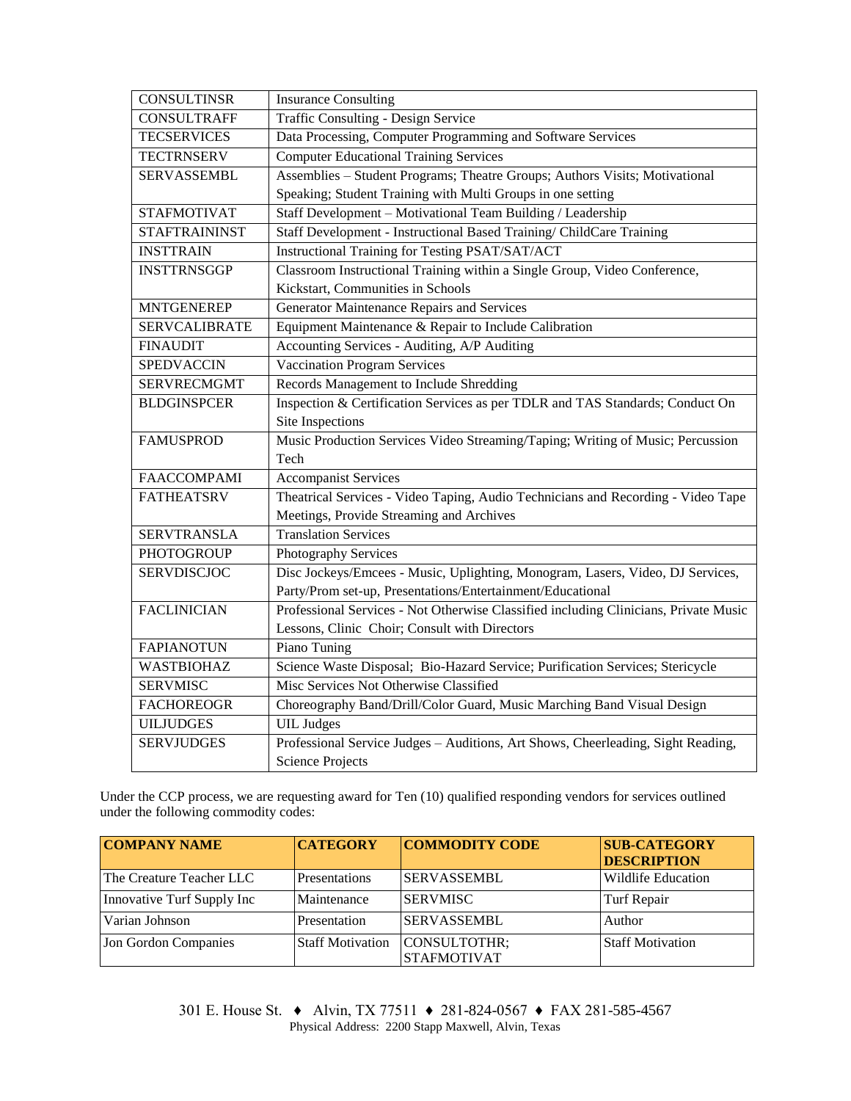| <b>CONSULTINSR</b>   | <b>Insurance Consulting</b>                                                          |  |  |  |
|----------------------|--------------------------------------------------------------------------------------|--|--|--|
| <b>CONSULTRAFF</b>   | Traffic Consulting - Design Service                                                  |  |  |  |
| <b>TECSERVICES</b>   | Data Processing, Computer Programming and Software Services                          |  |  |  |
| <b>TECTRNSERV</b>    | <b>Computer Educational Training Services</b>                                        |  |  |  |
| <b>SERVASSEMBL</b>   | Assemblies - Student Programs; Theatre Groups; Authors Visits; Motivational          |  |  |  |
|                      | Speaking; Student Training with Multi Groups in one setting                          |  |  |  |
| <b>STAFMOTIVAT</b>   | Staff Development - Motivational Team Building / Leadership                          |  |  |  |
| <b>STAFTRAININST</b> | Staff Development - Instructional Based Training/ ChildCare Training                 |  |  |  |
| <b>INSTTRAIN</b>     | Instructional Training for Testing PSAT/SAT/ACT                                      |  |  |  |
| <b>INSTTRNSGGP</b>   | Classroom Instructional Training within a Single Group, Video Conference,            |  |  |  |
|                      | Kickstart, Communities in Schools                                                    |  |  |  |
| <b>MNTGENEREP</b>    | Generator Maintenance Repairs and Services                                           |  |  |  |
| <b>SERVCALIBRATE</b> | Equipment Maintenance & Repair to Include Calibration                                |  |  |  |
| <b>FINAUDIT</b>      | Accounting Services - Auditing, A/P Auditing                                         |  |  |  |
| <b>SPEDVACCIN</b>    | <b>Vaccination Program Services</b>                                                  |  |  |  |
| <b>SERVRECMGMT</b>   | Records Management to Include Shredding                                              |  |  |  |
| <b>BLDGINSPCER</b>   | Inspection & Certification Services as per TDLR and TAS Standards; Conduct On        |  |  |  |
|                      | Site Inspections                                                                     |  |  |  |
| <b>FAMUSPROD</b>     | Music Production Services Video Streaming/Taping; Writing of Music; Percussion       |  |  |  |
|                      | Tech                                                                                 |  |  |  |
| <b>FAACCOMPAMI</b>   | <b>Accompanist Services</b>                                                          |  |  |  |
| <b>FATHEATSRV</b>    | Theatrical Services - Video Taping, Audio Technicians and Recording - Video Tape     |  |  |  |
|                      | Meetings, Provide Streaming and Archives                                             |  |  |  |
| <b>SERVTRANSLA</b>   | <b>Translation Services</b>                                                          |  |  |  |
| <b>PHOTOGROUP</b>    | Photography Services                                                                 |  |  |  |
| <b>SERVDISCJOC</b>   | Disc Jockeys/Emcees - Music, Uplighting, Monogram, Lasers, Video, DJ Services,       |  |  |  |
|                      | Party/Prom set-up, Presentations/Entertainment/Educational                           |  |  |  |
| <b>FACLINICIAN</b>   | Professional Services - Not Otherwise Classified including Clinicians, Private Music |  |  |  |
|                      | Lessons, Clinic Choir; Consult with Directors                                        |  |  |  |
| <b>FAPIANOTUN</b>    | Piano Tuning                                                                         |  |  |  |
| <b>WASTBIOHAZ</b>    | Science Waste Disposal; Bio-Hazard Service; Purification Services; Stericycle        |  |  |  |
| <b>SERVMISC</b>      | Misc Services Not Otherwise Classified                                               |  |  |  |
| <b>FACHOREOGR</b>    | Choreography Band/Drill/Color Guard, Music Marching Band Visual Design               |  |  |  |
| <b>UILJUDGES</b>     | <b>UIL</b> Judges                                                                    |  |  |  |
| <b>SERVJUDGES</b>    | Professional Service Judges - Auditions, Art Shows, Cheerleading, Sight Reading,     |  |  |  |
|                      | <b>Science Projects</b>                                                              |  |  |  |

Under the CCP process, we are requesting award for Ten (10) qualified responding vendors for services outlined under the following commodity codes:

| <b>COMPANY NAME</b>        | <b>CATEGORY</b>         | <b>COMMODITY CODE</b>              | <b>SUB-CATEGORY</b><br><b>DESCRIPTION</b> |
|----------------------------|-------------------------|------------------------------------|-------------------------------------------|
| The Creature Teacher LLC   | Presentations           | <b>SERVASSEMBL</b>                 | Wildlife Education                        |
| Innovative Turf Supply Inc | Maintenance             | <b>SERVMISC</b>                    | Turf Repair                               |
| Varian Johnson             | Presentation            | <b>SERVASSEMBL</b>                 | Author                                    |
| Jon Gordon Companies       | <b>Staff Motivation</b> | CONSULTOTHR;<br><b>STAFMOTIVAT</b> | <b>Staff Motivation</b>                   |